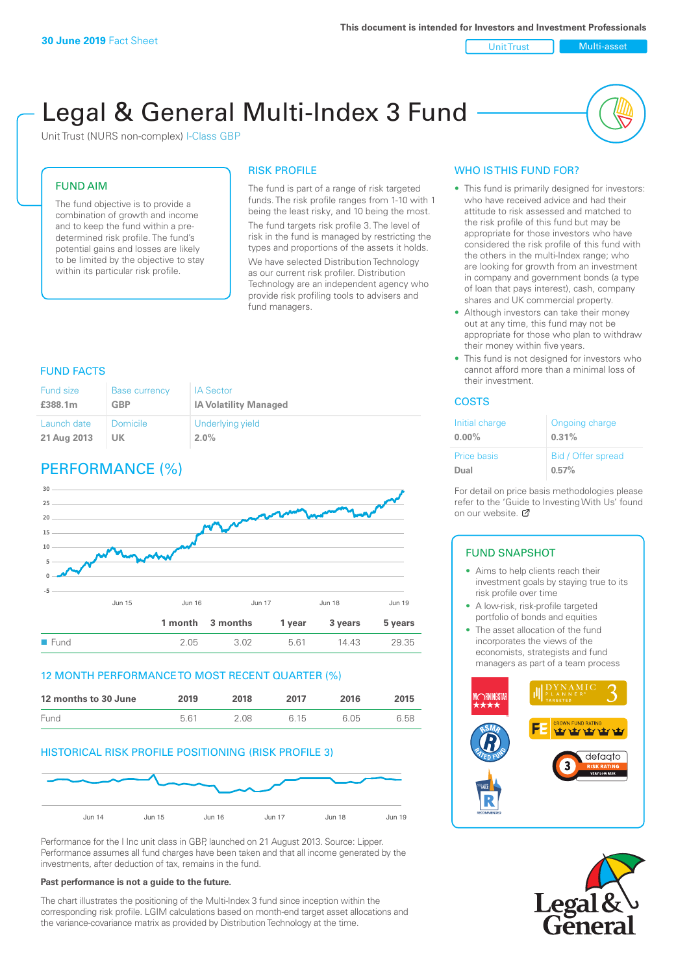Unit Trust Multi-asset

# Legal & General Multi-Index 3 Fund

Unit Trust (NURS non-complex) I-Class GBP

## FUND AIM

The fund objective is to provide a combination of growth and income and to keep the fund within a predetermined risk profile. The fund's potential gains and losses are likely to be limited by the objective to stay within its particular risk profile.

## RISK PROFILE

The fund is part of a range of risk targeted funds. The risk profile ranges from 1-10 with 1 being the least risky, and 10 being the most. The fund targets risk profile 3. The level of risk in the fund is managed by restricting the types and proportions of the assets it holds. We have selected Distribution Technology as our current risk profiler. Distribution Technology are an independent agency who provide risk profiling tools to advisers and fund managers.

#### FUND FACTS

| Fund size   | <b>Base currency</b> | <b>IA Sector</b>             |
|-------------|----------------------|------------------------------|
| £388.1m     | <b>GBP</b>           | <b>IA Volatility Managed</b> |
| Launch date | Domicile             | Underlying yield             |
| 21 Aug 2013 | UK.                  | $2.0\%$                      |

# PERFORMANCE (%)



#### 12 MONTH PERFORMANCE TO MOST RECENT QUARTER (%)

| 12 months to 30 June | 2019 | 2018 | 2017 | 2016 | 2015 |
|----------------------|------|------|------|------|------|
| Fund                 | 561  | 2.08 | 6.15 | 6.05 | 6.58 |

## HISTORICAL RISK PROFILE POSITIONING (RISK PROFILE 3)



Performance for the I Inc unit class in GBP, launched on 21 August 2013. Source: Lipper. Performance assumes all fund charges have been taken and that all income generated by the investments, after deduction of tax, remains in the fund.

#### **Past performance is not a guide to the future.**

The chart illustrates the positioning of the Multi-Index 3 fund since inception within the corresponding risk profile. LGIM calculations based on month-end target asset allocations and the variance-covariance matrix as provided by Distribution Technology at the time.

## WHO IS THIS FUND FOR?

- This fund is primarily designed for investors: who have received advice and had their attitude to risk assessed and matched to the risk profile of this fund but may be appropriate for those investors who have considered the risk profile of this fund with the others in the multi-Index range; who are looking for growth from an investment in company and government bonds (a type of loan that pays interest), cash, company shares and UK commercial property.
- Although investors can take their money out at any time, this fund may not be appropriate for those who plan to withdraw their money within five years.
- This fund is not designed for investors who cannot afford more than a minimal loss of their investment.

## COSTS

| Initial charge | Ongoing charge     |
|----------------|--------------------|
| $0.00\%$       | 0.31%              |
| Price basis    | Bid / Offer spread |
| Dual           | 0.57%              |

For detail on price basis methodologies please refer to the 'Guide to Investing With Us' found on our website. Ø

#### FUND SNAPSHOT

- Aims to help clients reach their investment goals by staying true to its risk profile over time
- A low-risk, risk-profile targeted portfolio of bonds and equities
- The asset allocation of the fund incorporates the views of the economists, strategists and fund managers as part of a team process



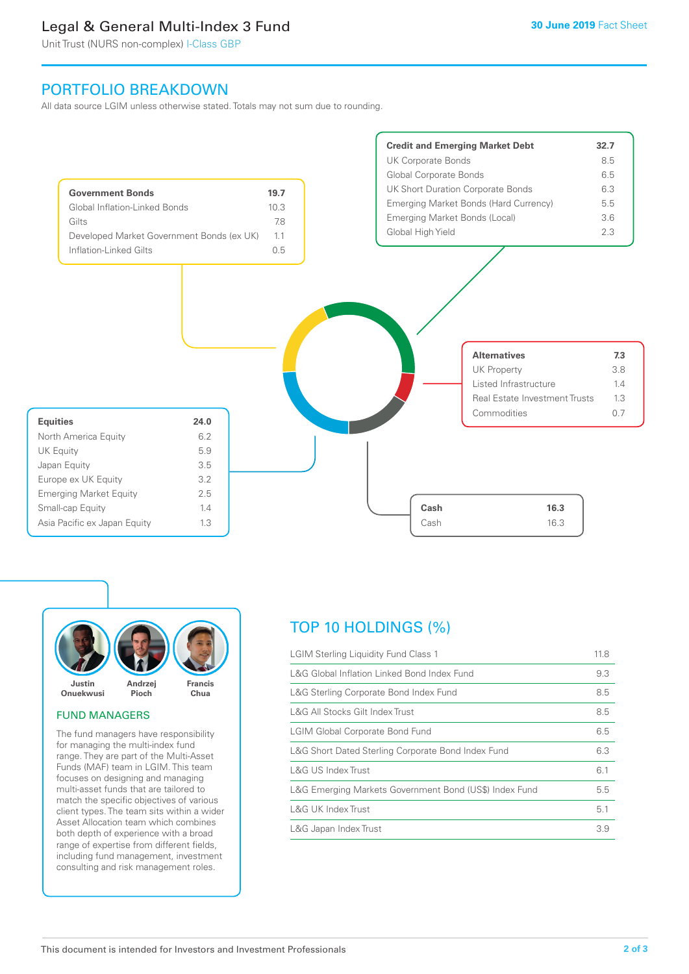# Legal & General Multi-Index 3 Fund

Unit Trust (NURS non-complex) I-Class GBP

# PORTFOLIO BREAKDOWN

All data source LGIM unless otherwise stated. Totals may not sum due to rounding.





# FUND MANAGERS

The fund managers have responsibility for managing the multi-index fund range. They are part of the Multi-Asset Funds (MAF) team in LGIM. This team focuses on designing and managing multi-asset funds that are tailored to match the specific objectives of various client types. The team sits within a wider Asset Allocation team which combines both depth of experience with a broad range of expertise from different fields, including fund management, investment consulting and risk management roles.

# TOP 10 HOLDINGS (%)

| <b>LGIM Sterling Liquidity Fund Class 1</b>            | 11.8 |
|--------------------------------------------------------|------|
| L&G Global Inflation Linked Bond Index Fund            | 9.3  |
| L&G Sterling Corporate Bond Index Fund                 | 8.5  |
| L&G All Stocks Gilt Index Trust                        | 8.5  |
| <b>LGIM Global Corporate Bond Fund</b>                 | 6.5  |
| L&G Short Dated Sterling Corporate Bond Index Fund     | 6.3  |
| L&G US Index Trust                                     | 6.1  |
| L&G Emerging Markets Government Bond (US\$) Index Fund | 5.5  |
| <b>L&amp;G UK Index Trust</b>                          | 5.1  |
| L&G Japan Index Trust                                  | 3.9  |